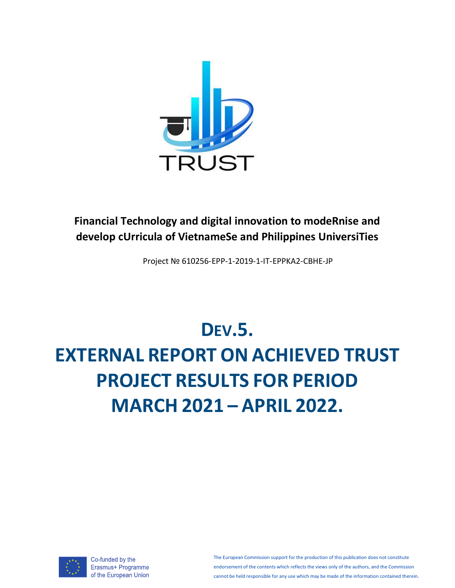

# **Financial Technology and digital innovation to modeRnise and develop cUrricula of VietnameSe and Philippines UniversiTies**

Project № 610256-EPP-1-2019-1-IT-EPPKA2-CBHE-JP

# **DEV.5. EXTERNAL REPORT ON ACHIEVED TRUST PROJECT RESULTS FOR PERIOD MARCH 2021 – APRIL 2022.**



Co-funded by the Erasmus+ Programme of the European Union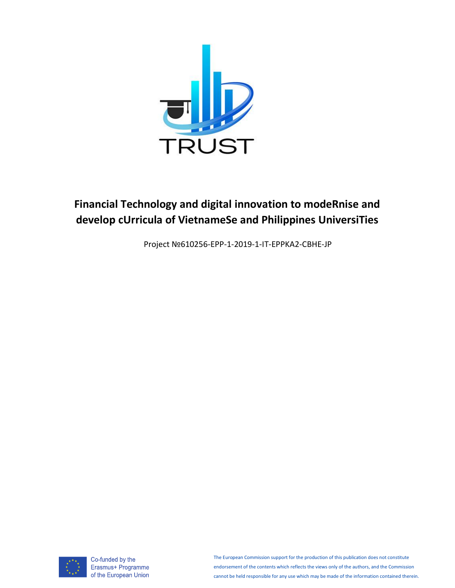

# **Financial Technology and digital innovation to modeRnise and develop cUrricula of VietnameSe and Philippines UniversiTies**

Project №610256-EPP-1-2019-1-IT-EPPKA2-CBHE-JP



Co-funded by the Erasmus+ Programme of the European Union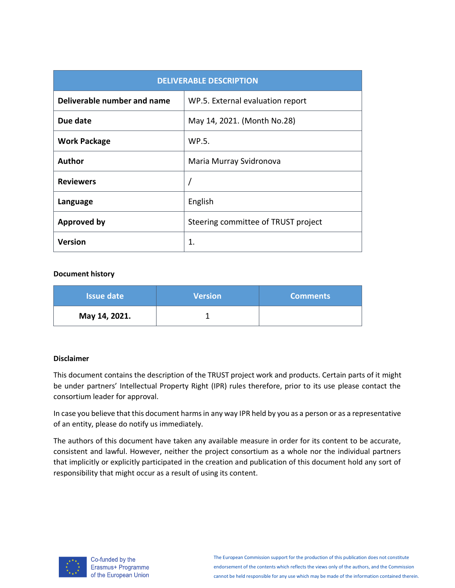| <b>DELIVERABLE DESCRIPTION</b> |                                     |  |  |  |  |  |  |  |
|--------------------------------|-------------------------------------|--|--|--|--|--|--|--|
| Deliverable number and name    | WP.5. External evaluation report    |  |  |  |  |  |  |  |
| Due date                       | May 14, 2021. (Month No.28)         |  |  |  |  |  |  |  |
| <b>Work Package</b>            | WP.5.                               |  |  |  |  |  |  |  |
| Author                         | Maria Murray Svidronova             |  |  |  |  |  |  |  |
| <b>Reviewers</b>               |                                     |  |  |  |  |  |  |  |
| Language                       | English                             |  |  |  |  |  |  |  |
| <b>Approved by</b>             | Steering committee of TRUST project |  |  |  |  |  |  |  |
| <b>Version</b>                 | 1.                                  |  |  |  |  |  |  |  |

#### **Document history**

| <b>Issue date</b> | <b>Version</b> | <b>Comments</b> |
|-------------------|----------------|-----------------|
| May 14, 2021.     |                |                 |

#### **Disclaimer**

This document contains the description of the TRUST project work and products. Certain parts of it might be under partners' Intellectual Property Right (IPR) rules therefore, prior to its use please contact the consortium leader for approval.

In case you believe that this document harms in any way IPR held by you as a person or as a representative of an entity, please do notify us immediately.

The authors of this document have taken any available measure in order for its content to be accurate, consistent and lawful. However, neither the project consortium as a whole nor the individual partners that implicitly or explicitly participated in the creation and publication of this document hold any sort of responsibility that might occur as a result of using its content.



Co-funded by the Erasmus+ Programme of the European Union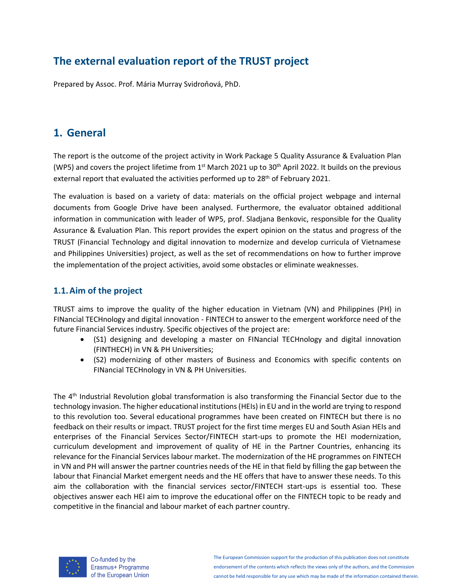# **The external evaluation report of the TRUST project**

Prepared by Assoc. Prof. Mária Murray Svidroňová, PhD.

# **1. General**

The report is the outcome of the project activity in Work Package 5 Quality Assurance & Evaluation Plan (WP5) and covers the project lifetime from 1<sup>st</sup> March 2021 up to 30<sup>th</sup> April 2022. It builds on the previous external report that evaluated the activities performed up to 28<sup>th</sup> of February 2021.

The evaluation is based on a variety of data: materials on the official project webpage and internal documents from Google Drive have been analysed. Furthermore, the evaluator obtained additional information in communication with leader of WP5, prof. Sladjana Benkovic, responsible for the Quality Assurance & Evaluation Plan. This report provides the expert opinion on the status and progress of the TRUST (Financial Technology and digital innovation to modernize and develop curricula of Vietnamese and Philippines Universities) project, as well as the set of recommendations on how to further improve the implementation of the project activities, avoid some obstacles or eliminate weaknesses.

# **1.1.Aim of the project**

TRUST aims to improve the quality of the higher education in Vietnam (VN) and Philippines (PH) in FINancial TECHnology and digital innovation - FINTECH to answer to the emergent workforce need of the future Financial Services industry. Specific objectives of the project are:

- (S1) designing and developing a master on FINancial TECHnology and digital innovation (FINTHECH) in VN & PH Universities;
- (S2) modernizing of other masters of Business and Economics with specific contents on FINancial TECHnology in VN & PH Universities.

The 4<sup>th</sup> Industrial Revolution global transformation is also transforming the Financial Sector due to the technology invasion. The higher educational institutions (HEIs) in EU and in the world are trying to respond to this revolution too. Several educational programmes have been created on FINTECH but there is no feedback on their results or impact. TRUST project for the first time merges EU and South Asian HEIs and enterprises of the Financial Services Sector/FINTECH start-ups to promote the HEI modernization, curriculum development and improvement of quality of HE in the Partner Countries, enhancing its relevance for the Financial Services labour market. The modernization of the HE programmes on FINTECH in VN and PH will answer the partner countries needs of the HE in that field by filling the gap between the labour that Financial Market emergent needs and the HE offers that have to answer these needs. To this aim the collaboration with the financial services sector/FINTECH start-ups is essential too. These objectives answer each HEI aim to improve the educational offer on the FINTECH topic to be ready and competitive in the financial and labour market of each partner country.



Co-funded by the Erasmus+ Programme of the European Union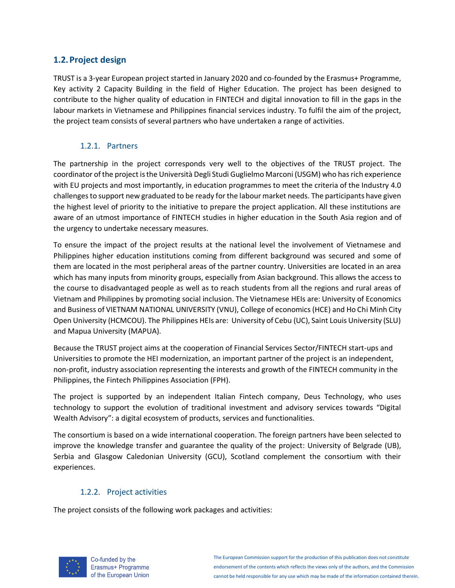# **1.2.Project design**

TRUST is a 3-year European project started in January 2020 and co-founded by the Erasmus+ Programme, Key activity 2 Capacity Building in the field of Higher Education. The project has been designed to contribute to the higher quality of education in FINTECH and digital innovation to fill in the gaps in the labour markets in Vietnamese and Philippines financial services industry. To fulfil the aim of the project, the project team consists of several partners who have undertaken a range of activities.

### 1.2.1. Partners

The partnership in the project corresponds very well to the objectives of the TRUST project. The coordinator of the project is the Università Degli Studi Guglielmo Marconi (USGM) who has rich experience with EU projects and most importantly, in education programmes to meet the criteria of the Industry 4.0 challenges to support new graduated to be ready for the labour market needs. The participants have given the highest level of priority to the initiative to prepare the project application. All these institutions are aware of an utmost importance of FINTECH studies in higher education in the South Asia region and of the urgency to undertake necessary measures.

To ensure the impact of the project results at the national level the involvement of Vietnamese and Philippines higher education institutions coming from different background was secured and some of them are located in the most peripheral areas of the partner country. Universities are located in an area which has many inputs from minority groups, especially from Asian background. This allows the access to the course to disadvantaged people as well as to reach students from all the regions and rural areas of Vietnam and Philippines by promoting social inclusion. The Vietnamese HEIs are: University of Economics and Business of VIETNAM NATIONAL UNIVERSITY (VNU), College of economics (HCE) and Ho Chi Minh City Open University (HCMCOU). The Philippines HEIs are: University of Cebu (UC), Saint Louis University (SLU) and Mapua University (MAPUA).

Because the TRUST project aims at the cooperation of Financial Services Sector/FINTECH start-ups and Universities to promote the HEI modernization, an important partner of the project is an independent, non-profit, industry association representing the interests and growth of the FINTECH community in the Philippines, the Fintech Philippines Association (FPH).

The project is supported by an independent Italian Fintech company, Deus Technology, who uses technology to support the evolution of traditional investment and advisory services towards "Digital Wealth Advisory": a digital ecosystem of products, services and functionalities.

The consortium is based on a wide international cooperation. The foreign partners have been selected to improve the knowledge transfer and guarantee the quality of the project: University of Belgrade (UB), Serbia and Glasgow Caledonian University (GCU), Scotland complement the consortium with their experiences.

### 1.2.2. Project activities

The project consists of the following work packages and activities:

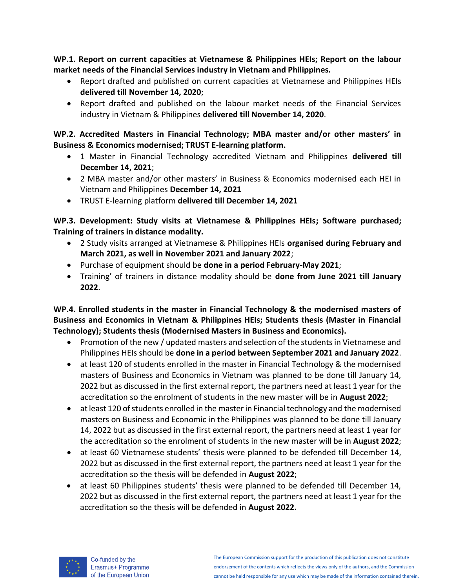**WP.1. Report on current capacities at Vietnamese & Philippines HEIs; Report on the labour market needs of the Financial Services industry in Vietnam and Philippines.**

- Report drafted and published on current capacities at Vietnamese and Philippines HEIs **delivered till November 14, 2020**;
- Report drafted and published on the labour market needs of the Financial Services industry in Vietnam & Philippines **delivered till November 14, 2020**.

**WP.2. Accredited Masters in Financial Technology; MBA master and/or other masters' in Business & Economics modernised; TRUST E-learning platform.**

- 1 Master in Financial Technology accredited Vietnam and Philippines **delivered till December 14, 2021**;
- 2 MBA master and/or other masters' in Business & Economics modernised each HEI in Vietnam and Philippines **December 14, 2021**
- TRUST E-learning platform **delivered till December 14, 2021**

**WP.3. Development: Study visits at Vietnamese & Philippines HEIs; Software purchased; Training of trainers in distance modality.**

- 2 Study visits arranged at Vietnamese & Philippines HEIs **organised during February and March 2021, as well in November 2021 and January 2022**;
- Purchase of equipment should be **done in a period February-May 2021**;
- Training' of trainers in distance modality should be **done from June 2021 till January 2022**.

**WP.4. Enrolled students in the master in Financial Technology & the modernised masters of Business and Economics in Vietnam & Philippines HEIs; Students thesis (Master in Financial Technology); Students thesis (Modernised Masters in Business and Economics).**

- Promotion of the new / updated masters and selection of the students in Vietnamese and Philippines HEIs should be **done in a period between September 2021 and January 2022**.
- at least 120 of students enrolled in the master in Financial Technology & the modernised masters of Business and Economics in Vietnam was planned to be done till January 14, 2022 but as discussed in the first external report, the partners need at least 1 year for the accreditation so the enrolment of students in the new master will be in **August 2022**;
- at least 120 of students enrolled in the master in Financial technology and the modernised masters on Business and Economic in the Philippines was planned to be done till January 14, 2022 but as discussed in the first external report, the partners need at least 1 year for the accreditation so the enrolment of students in the new master will be in **August 2022**;
- at least 60 Vietnamese students' thesis were planned to be defended till December 14, 2022 but as discussed in the first external report, the partners need at least 1 year for the accreditation so the thesis will be defended in **August 2022**;
- at least 60 Philippines students' thesis were planned to be defended till December 14, 2022 but as discussed in the first external report, the partners need at least 1 year for the accreditation so the thesis will be defended in **August 2022.**

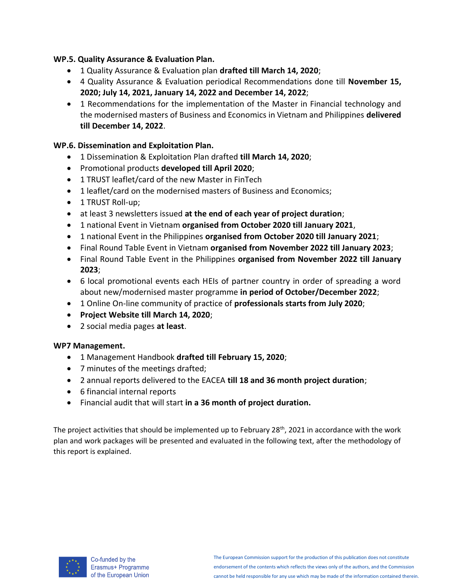### **WP.5. Quality Assurance & Evaluation Plan.**

- 1 Quality Assurance & Evaluation plan **drafted till March 14, 2020**;
- 4 Quality Assurance & Evaluation periodical Recommendations done till **November 15, 2020; July 14, 2021, January 14, 2022 and December 14, 2022**;
- 1 Recommendations for the implementation of the Master in Financial technology and the modernised masters of Business and Economics in Vietnam and Philippines **delivered till December 14, 2022**.

### **WP.6. Dissemination and Exploitation Plan.**

- 1 Dissemination & Exploitation Plan drafted **till March 14, 2020**;
- Promotional products **developed till April 2020**;
- 1 TRUST leaflet/card of the new Master in FinTech
- 1 leaflet/card on the modernised masters of Business and Economics;
- 1 TRUST Roll-up;
- at least 3 newsletters issued **at the end of each year of project duration**;
- 1 national Event in Vietnam **organised from October 2020 till January 2021**,
- 1 national Event in the Philippines **organised from October 2020 till January 2021**;
- Final Round Table Event in Vietnam **organised from November 2022 till January 2023**;
- Final Round Table Event in the Philippines **organised from November 2022 till January 2023**;
- 6 local promotional events each HEIs of partner country in order of spreading a word about new/modernised master programme **in period of October/December 2022**;
- 1 Online On-line community of practice of **professionals starts from July 2020**;
- **Project Website till March 14, 2020**;
- 2 social media pages **at least**.

### **WP7 Management.**

- 1 Management Handbook **drafted till February 15, 2020**;
- 7 minutes of the meetings drafted;
- 2 annual reports delivered to the EACEA **till 18 and 36 month project duration**;
- 6 financial internal reports
- Financial audit that will start **in a 36 month of project duration.**

The project activities that should be implemented up to February 28<sup>th</sup>, 2021 in accordance with the work plan and work packages will be presented and evaluated in the following text, after the methodology of this report is explained.

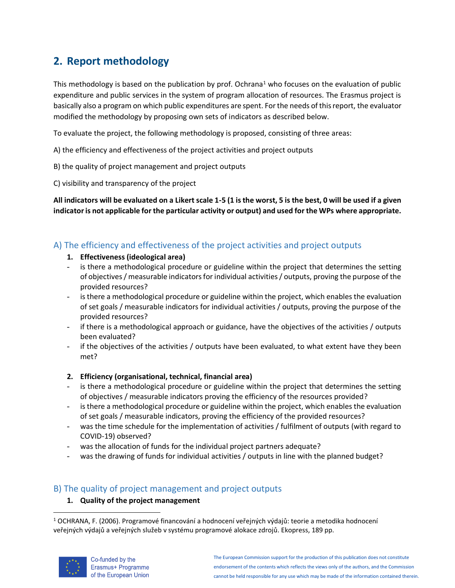# **2. Report methodology**

This methodology is based on the publication by prof. Ochrana<sup>1</sup> who focuses on the evaluation of public expenditure and public services in the system of program allocation of resources. The Erasmus project is basically also a program on which public expenditures are spent. For the needs of this report, the evaluator modified the methodology by proposing own sets of indicators as described below.

To evaluate the project, the following methodology is proposed, consisting of three areas:

- A) the efficiency and effectiveness of the project activities and project outputs
- B) the quality of project management and project outputs
- C) visibility and transparency of the project

**All indicators will be evaluated on a Likert scale 1-5 (1 is the worst, 5 is the best, 0 will be used if a given indicator is not applicable for the particular activity or output) and used for the WPs where appropriate.**

# A) The efficiency and effectiveness of the project activities and project outputs

- **1. Effectiveness (ideological area)**
- is there a methodological procedure or guideline within the project that determines the setting of objectives / measurable indicators for individual activities / outputs, proving the purpose of the provided resources?
- is there a methodological procedure or guideline within the project, which enables the evaluation of set goals / measurable indicators for individual activities / outputs, proving the purpose of the provided resources?
- if there is a methodological approach or guidance, have the objectives of the activities / outputs been evaluated?
- if the objectives of the activities / outputs have been evaluated, to what extent have they been met?

### **2. Efficiency (organisational, technical, financial area)**

- is there a methodological procedure or guideline within the project that determines the setting of objectives / measurable indicators proving the efficiency of the resources provided?
- is there a methodological procedure or guideline within the project, which enables the evaluation of set goals / measurable indicators, proving the efficiency of the provided resources?
- was the time schedule for the implementation of activities / fulfilment of outputs (with regard to COVID-19) observed?
- was the allocation of funds for the individual project partners adequate?
- was the drawing of funds for individual activities / outputs in line with the planned budget?

# B) The quality of project management and project outputs

### **1. Quality of the project management**

<sup>1</sup> OCHRANA, F. (2006). Programové financování a hodnocení veřejných výdajů: teorie a metodika hodnocení veřejných výdajů a veřejných služeb v systému programové alokace zdrojů. Ekopress, 189 pp.

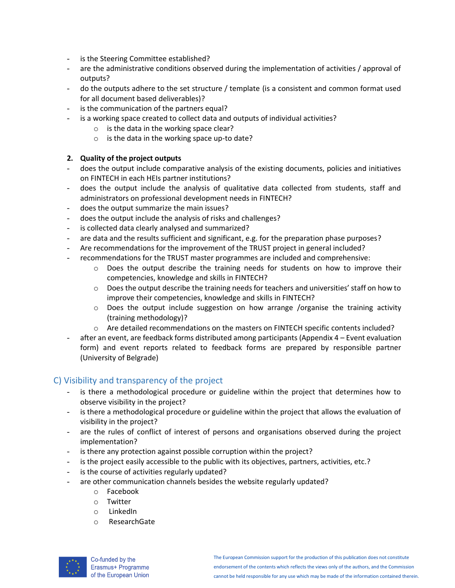- is the Steering Committee established?
- are the administrative conditions observed during the implementation of activities / approval of outputs?
- do the outputs adhere to the set structure / template (is a consistent and common format used for all document based deliverables)?
- is the communication of the partners equal?
- is a working space created to collect data and outputs of individual activities?
	- o is the data in the working space clear?
	- o is the data in the working space up-to date?

#### **2. Quality of the project outputs**

- does the output include comparative analysis of the existing documents, policies and initiatives on FINTECH in each HEIs partner institutions?
- does the output include the analysis of qualitative data collected from students, staff and administrators on professional development needs in FINTECH?
- does the output summarize the main issues?
- does the output include the analysis of risks and challenges?
- is collected data clearly analysed and summarized?
- are data and the results sufficient and significant, e.g. for the preparation phase purposes?
- Are recommendations for the improvement of the TRUST project in general included?
- recommendations for the TRUST master programmes are included and comprehensive:
	- $\circ$  Does the output describe the training needs for students on how to improve their competencies, knowledge and skills in FINTECH?
	- $\circ$  Does the output describe the training needs for teachers and universities' staff on how to improve their competencies, knowledge and skills in FINTECH?
	- $\circ$  Does the output include suggestion on how arrange /organise the training activity (training methodology)?
	- $\circ$  Are detailed recommendations on the masters on FINTECH specific contents included?
- after an event, are feedback forms distributed among participants (Appendix 4 Event evaluation form) and event reports related to feedback forms are prepared by responsible partner (University of Belgrade)

### C) Visibility and transparency of the project

- is there a methodological procedure or guideline within the project that determines how to observe visibility in the project?
- is there a methodological procedure or guideline within the project that allows the evaluation of visibility in the project?
- are the rules of conflict of interest of persons and organisations observed during the project implementation?
- is there any protection against possible corruption within the project?
- is the project easily accessible to the public with its objectives, partners, activities, etc.?
- is the course of activities regularly updated?
- are other communication channels besides the website regularly updated?
	- o Facebook
	- o Twitter
	- o LinkedIn
	- o ResearchGate

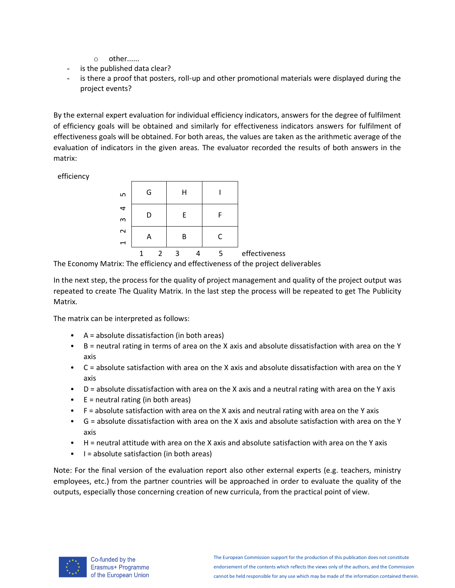- o other......
- is the published data clear?
- is there a proof that posters, roll-up and other promotional materials were displayed during the project events?

By the external expert evaluation for individual efficiency indicators, answers for the degree of fulfilment of efficiency goals will be obtained and similarly for effectiveness indicators answers for fulfilment of effectiveness goals will be obtained. For both areas, the values are taken as the arithmetic average of the evaluation of indicators in the given areas. The evaluator recorded the results of both answers in the matrix:

efficiency

| S                                  | G |               | Н |   |               |
|------------------------------------|---|---------------|---|---|---------------|
| 4<br>m                             | D |               | E | F |               |
| $\sim$<br>$\overline{\phantom{0}}$ | Α |               | в | C |               |
|                                    |   | $\mathcal{P}$ | ς | 5 | effectiveness |

The Economy Matrix: The efficiency and effectiveness of the project deliverables

In the next step, the process for the quality of project management and quality of the project output was repeated to create The Quality Matrix. In the last step the process will be repeated to get The Publicity Matrix.

The matrix can be interpreted as follows:

- A = absolute dissatisfaction (in both areas)
- B = neutral rating in terms of area on the X axis and absolute dissatisfaction with area on the Y axis
- C = absolute satisfaction with area on the X axis and absolute dissatisfaction with area on the Y axis
- D = absolute dissatisfaction with area on the X axis and a neutral rating with area on the Y axis
- $\bullet$  E = neutral rating (in both areas)
- F = absolute satisfaction with area on the X axis and neutral rating with area on the Y axis
- G = absolute dissatisfaction with area on the X axis and absolute satisfaction with area on the Y axis
- H = neutral attitude with area on the X axis and absolute satisfaction with area on the Y axis
- I = absolute satisfaction (in both areas)

Note: For the final version of the evaluation report also other external experts (e.g. teachers, ministry employees, etc.) from the partner countries will be approached in order to evaluate the quality of the outputs, especially those concerning creation of new curricula, from the practical point of view.

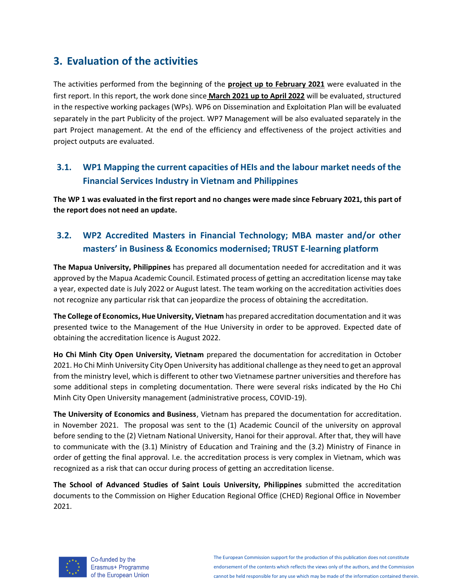# **3. Evaluation of the activities**

The activities performed from the beginning of the **project up to February 2021** were evaluated in the first report. In this report, the work done since **March 2021 up to April 2022** will be evaluated, structured in the respective working packages (WPs). WP6 on Dissemination and Exploitation Plan will be evaluated separately in the part Publicity of the project. WP7 Management will be also evaluated separately in the part Project management. At the end of the efficiency and effectiveness of the project activities and project outputs are evaluated.

# **3.1. WP1 Mapping the current capacities of HEIs and the labour market needs of the Financial Services Industry in Vietnam and Philippines**

**The WP 1 was evaluated in the first report and no changes were made since February 2021, this part of the report does not need an update.**

# **3.2. WP2 Accredited Masters in Financial Technology; MBA master and/or other masters' in Business & Economics modernised; TRUST E-learning platform**

**The Mapua University, Philippines** has prepared all documentation needed for accreditation and it was approved by the Mapua Academic Council. Estimated process of getting an accreditation license may take a year, expected date is July 2022 or August latest. The team working on the accreditation activities does not recognize any particular risk that can jeopardize the process of obtaining the accreditation.

**The College of Economics, Hue University, Vietnam** has prepared accreditation documentation and it was presented twice to the Management of the Hue University in order to be approved. Expected date of obtaining the accreditation licence is August 2022.

**Ho Chi Minh City Open University, Vietnam** prepared the documentation for accreditation in October 2021. Ho Chi Minh University City Open University has additional challenge as they need to get an approval from the ministry level, which is different to other two Vietnamese partner universities and therefore has some additional steps in completing documentation. There were several risks indicated by the Ho Chi Minh City Open University management (administrative process, COVID-19).

**The University of Economics and Business**, Vietnam has prepared the documentation for accreditation. in November 2021. The proposal was sent to the (1) Academic Council of the university on approval before sending to the (2) Vietnam National University, Hanoi for their approval. After that, they will have to communicate with the (3.1) Ministry of Education and Training and the (3.2) Ministry of Finance in order of getting the final approval. I.e. the accreditation process is very complex in Vietnam, which was recognized as a risk that can occur during process of getting an accreditation license.

**The School of Advanced Studies of Saint Louis University, Philippines** submitted the accreditation documents to the Commission on Higher Education Regional Office (CHED) Regional Office in November 2021.



Co-funded by the Erasmus+ Programme of the European Union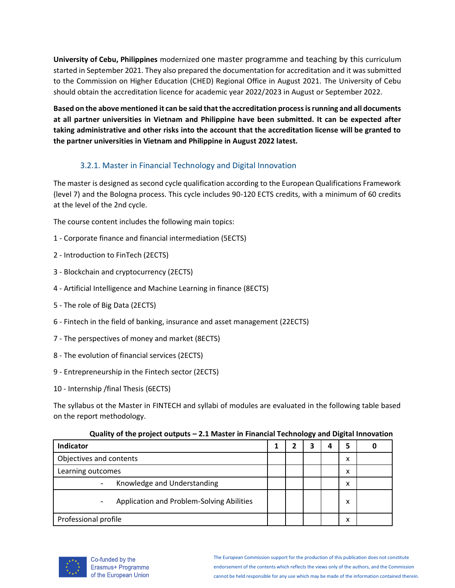**University of Cebu, Philippines** modernized one master programme and teaching by this curriculum started in September 2021. They also prepared the documentation for accreditation and it was submitted to the Commission on Higher Education (CHED) Regional Office in August 2021. The University of Cebu should obtain the accreditation licence for academic year 2022/2023 in August or September 2022.

**Based on the above mentioned it can be said that the accreditation process is running and all documents at all partner universities in Vietnam and Philippine have been submitted. It can be expected after taking administrative and other risks into the account that the accreditation license will be granted to the partner universities in Vietnam and Philippine in August 2022 latest.**

# 3.2.1. Master in Financial Technology and Digital Innovation

The master is designed as second cycle qualification according to the European Qualifications Framework (level 7) and the Bologna process. This cycle includes 90-120 ECTS credits, with a minimum of 60 credits at the level of the 2nd cycle.

The course content includes the following main topics:

- 1 Corporate finance and financial intermediation (5ECTS)
- 2 Introduction to FinTech (2ECTS)
- 3 Blockchain and cryptocurrency (2ECTS)
- 4 Artificial Intelligence and Machine Learning in finance (8ECTS)
- 5 The role of Big Data (2ECTS)
- 6 Fintech in the field of banking, insurance and asset management (22ECTS)
- 7 The perspectives of money and market (8ECTS)
- 8 The evolution of financial services (2ECTS)
- 9 Entrepreneurship in the Fintech sector (2ECTS)
- 10 Internship /final Thesis (6ECTS)

The syllabus ot the Master in FINTECH and syllabi of modules are evaluated in the following table based on the report methodology.

| Indicator                                                             |  | 4 | 5 |  |
|-----------------------------------------------------------------------|--|---|---|--|
| Objectives and contents                                               |  |   | x |  |
| Learning outcomes                                                     |  |   | x |  |
| Knowledge and Understanding                                           |  |   | x |  |
| Application and Problem-Solving Abilities<br>$\overline{\phantom{a}}$ |  |   | x |  |
| Professional profile                                                  |  |   | х |  |

#### **Quality of the project outputs – 2.1 Master in Financial Technology and Digital Innovation**

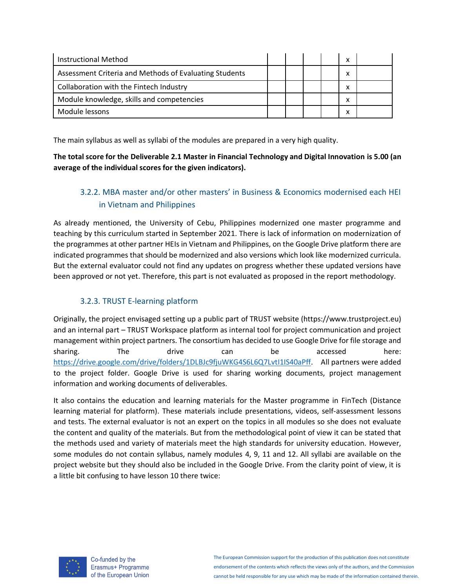| Instructional Method                                   |  |  | x |  |
|--------------------------------------------------------|--|--|---|--|
| Assessment Criteria and Methods of Evaluating Students |  |  |   |  |
| Collaboration with the Fintech Industry                |  |  |   |  |
| Module knowledge, skills and competencies              |  |  | x |  |
| Module lessons                                         |  |  |   |  |

The main syllabus as well as syllabi of the modules are prepared in a very high quality.

**The total score for the Deliverable 2.1 Master in Financial Technology and Digital Innovation is 5.00 (an average of the individual scores for the given indicators).**

# 3.2.2. MBA master and/or other masters' in Business & Economics modernised each HEI in Vietnam and Philippines

As already mentioned, the University of Cebu, Philippines modernized one master programme and teaching by this curriculum started in September 2021. There is lack of information on modernization of the programmes at other partner HEIs in Vietnam and Philippines, on the Google Drive platform there are indicated programmes that should be modernized and also versions which look like modernized curricula. But the external evaluator could not find any updates on progress whether these updated versions have been approved or not yet. Therefore, this part is not evaluated as proposed in the report methodology.

### 3.2.3. TRUST E-learning platform

Originally, the project envisaged setting up a public part of TRUST website (https://www.trustproject.eu) and an internal part – TRUST Workspace platform as internal tool for project communication and project management within project partners. The consortium has decided to use Google Drive for file storage and sharing. The drive can be accessed here: [https://drive.google.com/drive/folders/1DLBJc9fjuWKG4S6L6Q7LvtI1IS40aPff.](https://drive.google.com/drive/folders/1DLBJc9fjuWKG4S6L6Q7LvtI1IS40aPff) All partners were added to the project folder. Google Drive is used for sharing working documents, project management information and working documents of deliverables.

It also contains the education and learning materials for the Master programme in FinTech (Distance learning material for platform). These materials include presentations, videos, self-assessment lessons and tests. The external evaluator is not an expert on the topics in all modules so she does not evaluate the content and quality of the materials. But from the methodological point of view it can be stated that the methods used and variety of materials meet the high standards for university education. However, some modules do not contain syllabus, namely modules 4, 9, 11 and 12. All syllabi are available on the project website but they should also be included in the Google Drive. From the clarity point of view, it is a little bit confusing to have lesson 10 there twice:



Co-funded by the Erasmus+ Programme of the European Union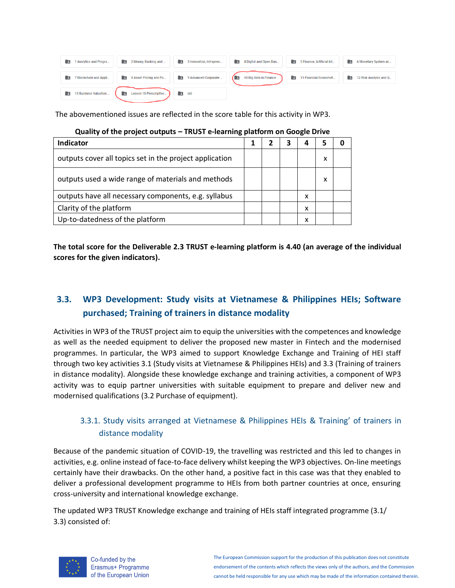| R          | 1 Analytics and Progra | 2 Money, Banking and<br>O9.            |            | 3 Innovation, Intrapren |     | 4 Digital and Open Ban | 5 Finance, Artificial Int   | lia. | 6 Monetary System an   |
|------------|------------------------|----------------------------------------|------------|-------------------------|-----|------------------------|-----------------------------|------|------------------------|
| R          | 7 Blockchain and Appli | <b>EXECUTE:</b> 8 Asset Pricing and Po |            | 9 Advanced Corporate    | 7 E | 10 Big Data in Finance | 11 Financial Economet<br>E. | le.  | 12 Risk Analysis and Q |
| <b>P</b> E | 13 Business Valuation  | Lesson 10-Prescriptive<br>l E          | $\Box$ old |                         |     |                        |                             |      |                        |

The abovementioned issues are reflected in the score table for this activity in WP3.

| Indicator                                               |  | 4 |   |  |
|---------------------------------------------------------|--|---|---|--|
| outputs cover all topics set in the project application |  |   | х |  |
| outputs used a wide range of materials and methods      |  |   | x |  |
| outputs have all necessary components, e.g. syllabus    |  | x |   |  |
| Clarity of the platform                                 |  | x |   |  |
| Up-to-datedness of the platform                         |  | x |   |  |

| Quality of the project outputs - TRUST e-learning platform on Google Drive |
|----------------------------------------------------------------------------|
|----------------------------------------------------------------------------|

**The total score for the Deliverable 2.3 TRUST e-learning platform is 4.40 (an average of the individual scores for the given indicators).**

# **3.3. WP3 Development: Study visits at Vietnamese & Philippines HEIs; Software purchased; Training of trainers in distance modality**

Activities in WP3 of the TRUST project aim to equip the universities with the competences and knowledge as well as the needed equipment to deliver the proposed new master in Fintech and the modernised programmes. In particular, the WP3 aimed to support Knowledge Exchange and Training of HEI staff through two key activities 3.1 (Study visits at Vietnamese & Philippines HEIs) and 3.3 (Training of trainers in distance modality). Alongside these knowledge exchange and training activities, a component of WP3 activity was to equip partner universities with suitable equipment to prepare and deliver new and modernised qualifications (3.2 Purchase of equipment).

# 3.3.1. Study visits arranged at Vietnamese & Philippines HEIs & Training' of trainers in distance modality

Because of the pandemic situation of COVID-19, the travelling was restricted and this led to changes in activities, e.g. online instead of face-to-face delivery whilst keeping the WP3 objectives. On-line meetings certainly have their drawbacks. On the other hand, a positive fact in this case was that they enabled to deliver a professional development programme to HEIs from both partner countries at once, ensuring cross-university and international knowledge exchange.

The updated WP3 TRUST Knowledge exchange and training of HEIs staff integrated programme (3.1/ 3.3) consisted of:



Co-funded by the Erasmus+ Programme of the European Union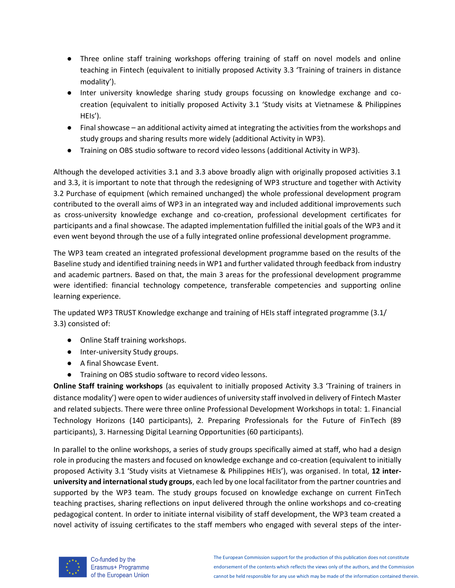- Three online staff training workshops offering training of staff on novel models and online teaching in Fintech (equivalent to initially proposed Activity 3.3 'Training of trainers in distance modality').
- Inter university knowledge sharing study groups focussing on knowledge exchange and cocreation (equivalent to initially proposed Activity 3.1 'Study visits at Vietnamese & Philippines HEIs').
- Final showcase an additional activity aimed at integrating the activities from the workshops and study groups and sharing results more widely (additional Activity in WP3).
- Training on OBS studio software to record video lessons (additional Activity in WP3).

Although the developed activities 3.1 and 3.3 above broadly align with originally proposed activities 3.1 and 3.3, it is important to note that through the redesigning of WP3 structure and together with Activity 3.2 Purchase of equipment (which remained unchanged) the whole professional development program contributed to the overall aims of WP3 in an integrated way and included additional improvements such as cross-university knowledge exchange and co-creation, professional development certificates for participants and a final showcase. The adapted implementation fulfilled the initial goals of the WP3 and it even went beyond through the use of a fully integrated online professional development programme.

The WP3 team created an integrated professional development programme based on the results of the Baseline study and identified training needs in WP1 and further validated through feedback from industry and academic partners. Based on that, the main 3 areas for the professional development programme were identified: financial technology competence, transferable competencies and supporting online learning experience.

The updated WP3 TRUST Knowledge exchange and training of HEIs staff integrated programme (3.1/ 3.3) consisted of:

- Online Staff training workshops.
- Inter-university Study groups.
- A final Showcase Event.
- Training on OBS studio software to record video lessons.

**Online Staff training workshops** (as equivalent to initially proposed Activity 3.3 'Training of trainers in distance modality') were open to wider audiences of university staff involved in delivery of Fintech Master and related subjects. There were three online Professional Development Workshops in total: 1. Financial Technology Horizons (140 participants), 2. Preparing Professionals for the Future of FinTech (89 participants), 3. Harnessing Digital Learning Opportunities (60 participants).

In parallel to the online workshops, a series of study groups specifically aimed at staff, who had a design role in producing the masters and focused on knowledge exchange and co-creation (equivalent to initially proposed Activity 3.1 'Study visits at Vietnamese & Philippines HEIs'), was organised. In total, **12 interuniversity and international study groups**, each led by one local facilitator from the partner countries and supported by the WP3 team. The study groups focused on knowledge exchange on current FinTech teaching practises, sharing reflections on input delivered through the online workshops and co-creating pedagogical content. In order to initiate internal visibility of staff development, the WP3 team created a novel activity of issuing certificates to the staff members who engaged with several steps of the inter-

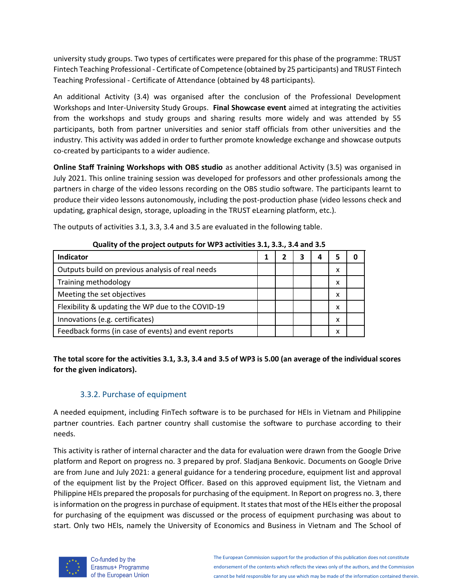university study groups. Two types of certificates were prepared for this phase of the programme: TRUST Fintech Teaching Professional - Certificate of Competence (obtained by 25 participants) and TRUST Fintech Teaching Professional - Certificate of Attendance (obtained by 48 participants).

An additional Activity (3.4) was organised after the conclusion of the Professional Development Workshops and Inter-University Study Groups. **Final Showcase event** aimed at integrating the activities from the workshops and study groups and sharing results more widely and was attended by 55 participants, both from partner universities and senior staff officials from other universities and the industry. This activity was added in order to further promote knowledge exchange and showcase outputs co-created by participants to a wider audience.

**Online Staff Training Workshops with OBS studio** as another additional Activity (3.5) was organised in July 2021. This online training session was developed for professors and other professionals among the partners in charge of the video lessons recording on the OBS studio software. The participants learnt to produce their video lessons autonomously, including the post-production phase (video lessons check and updating, graphical design, storage, uploading in the TRUST eLearning platform, etc.).

| The outputs of activities 3.1, 3.3, 3.4 and 3.5 are evaluated in the following table. |  |
|---------------------------------------------------------------------------------------|--|
|---------------------------------------------------------------------------------------|--|

| adding of the project outputs for the suctivities six, sisi, six and sis |  |  |  |   |   |  |  |  |  |
|--------------------------------------------------------------------------|--|--|--|---|---|--|--|--|--|
| Indicator                                                                |  |  |  | Δ |   |  |  |  |  |
| Outputs build on previous analysis of real needs                         |  |  |  |   | х |  |  |  |  |
| Training methodology                                                     |  |  |  |   | x |  |  |  |  |
| Meeting the set objectives                                               |  |  |  |   | х |  |  |  |  |
| Flexibility & updating the WP due to the COVID-19                        |  |  |  |   | x |  |  |  |  |
| Innovations (e.g. certificates)                                          |  |  |  |   | x |  |  |  |  |
| Feedback forms (in case of events) and event reports                     |  |  |  |   | x |  |  |  |  |

**Quality of the project outputs for WP3 activities 3.1, 3.3., 3.4 and 3.5**

**The total score for the activities 3.1, 3.3, 3.4 and 3.5 of WP3 is 5.00 (an average of the individual scores for the given indicators).**

# 3.3.2. Purchase of equipment

A needed equipment, including FinTech software is to be purchased for HEIs in Vietnam and Philippine partner countries. Each partner country shall customise the software to purchase according to their needs.

This activity is rather of internal character and the data for evaluation were drawn from the Google Drive platform and Report on progress no. 3 prepared by prof. Sladjana Benkovic. Documents on Google Drive are from June and July 2021: a general guidance for a tendering procedure, equipment list and approval of the equipment list by the Project Officer. Based on this approved equipment list, the Vietnam and Philippine HEIs prepared the proposals for purchasing of the equipment. In Report on progress no. 3, there is information on the progress in purchase of equipment. It states that most of the HEIs either the proposal for purchasing of the equipment was discussed or the process of equipment purchasing was about to start. Only two HEIs, namely the University of Economics and Business in Vietnam and The School of



Co-funded by the Erasmus+ Programme of the European Union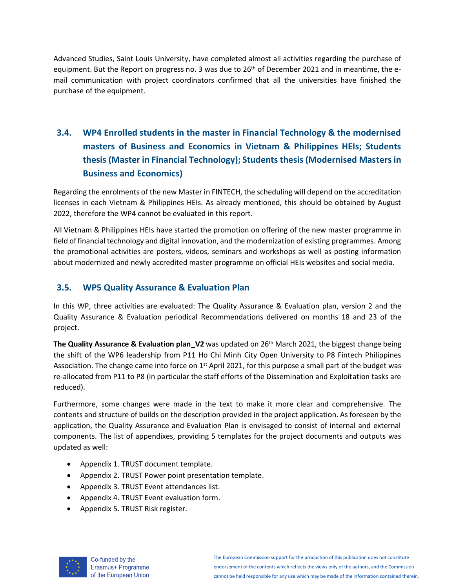Advanced Studies, Saint Louis University, have completed almost all activities regarding the purchase of equipment. But the Report on progress no. 3 was due to  $26<sup>th</sup>$  of December 2021 and in meantime, the email communication with project coordinators confirmed that all the universities have finished the purchase of the equipment.

# **3.4. WP4 Enrolled students in the master in Financial Technology & the modernised masters of Business and Economics in Vietnam & Philippines HEIs; Students thesis (Master in Financial Technology); Students thesis (Modernised Masters in Business and Economics)**

Regarding the enrolments of the new Master in FINTECH, the scheduling will depend on the accreditation licenses in each Vietnam & Philippines HEIs. As already mentioned, this should be obtained by August 2022, therefore the WP4 cannot be evaluated in this report.

All Vietnam & Philippines HEIs have started the promotion on offering of the new master programme in field of financial technology and digital innovation, and the modernization of existing programmes. Among the promotional activities are posters, videos, seminars and workshops as well as posting information about modernized and newly accredited master programme on official HEIs websites and social media.

# **3.5. WP5 Quality Assurance & Evaluation Plan**

In this WP, three activities are evaluated: The Quality Assurance & Evaluation plan, version 2 and the Quality Assurance & Evaluation periodical Recommendations delivered on months 18 and 23 of the project.

**The Quality Assurance & Evaluation plan V2** was updated on 26<sup>th</sup> March 2021, the biggest change being the shift of the WP6 leadership from P11 Ho Chi Minh City Open University to P8 Fintech Philippines Association. The change came into force on  $1<sup>st</sup>$  April 2021, for this purpose a small part of the budget was re-allocated from P11 to P8 (in particular the staff efforts of the Dissemination and Exploitation tasks are reduced).

Furthermore, some changes were made in the text to make it more clear and comprehensive. The contents and structure of builds on the description provided in the project application. As foreseen by the application, the Quality Assurance and Evaluation Plan is envisaged to consist of internal and external components. The list of appendixes, providing 5 templates for the project documents and outputs was updated as well:

- Appendix 1. TRUST document template.
- Appendix 2. TRUST Power point presentation template.
- Appendix 3. TRUST Event attendances list.
- Appendix 4. TRUST Event evaluation form.
- Appendix 5. TRUST Risk register.

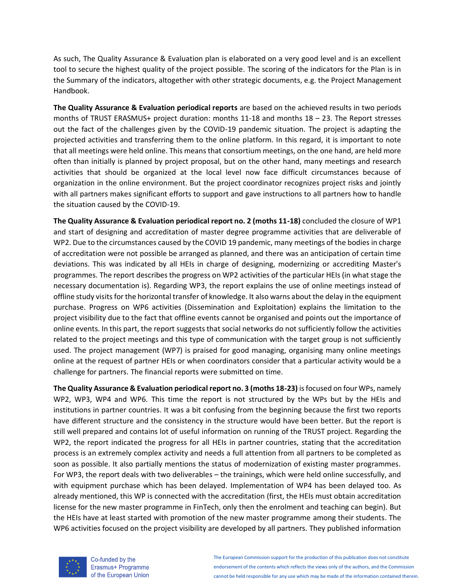As such, The Quality Assurance & Evaluation plan is elaborated on a very good level and is an excellent tool to secure the highest quality of the project possible. The scoring of the indicators for the Plan is in the Summary of the indicators, altogether with other strategic documents, e.g. the Project Management Handbook.

**The Quality Assurance & Evaluation periodical reports** are based on the achieved results in two periods months of TRUST ERASMUS+ project duration: months 11-18 and months 18 – 23. The Report stresses out the fact of the challenges given by the COVID-19 pandemic situation. The project is adapting the projected activities and transferring them to the online platform. In this regard, it is important to note that all meetings were held online. This means that consortium meetings, on the one hand, are held more often than initially is planned by project proposal, but on the other hand, many meetings and research activities that should be organized at the local level now face difficult circumstances because of organization in the online environment. But the project coordinator recognizes project risks and jointly with all partners makes significant efforts to support and gave instructions to all partners how to handle the situation caused by the COVID-19.

**The Quality Assurance & Evaluation periodical report no. 2 (moths 11-18)** concluded the closure of WP1 and start of designing and accreditation of master degree programme activities that are deliverable of WP2. Due to the circumstances caused by the COVID 19 pandemic, many meetings of the bodies in charge of accreditation were not possible be arranged as planned, and there was an anticipation of certain time deviations. This was indicated by all HEIs in charge of designing, modernizing or accrediting Master's programmes. The report describes the progress on WP2 activities of the particular HEIs (in what stage the necessary documentation is). Regarding WP3, the report explains the use of online meetings instead of offline study visits for the horizontal transfer of knowledge. It also warns about the delay in the equipment purchase. Progress on WP6 activities (Dissemination and Exploitation) explains the limitation to the project visibility due to the fact that offline events cannot be organised and points out the importance of online events. In this part, the report suggests that social networks do not sufficiently follow the activities related to the project meetings and this type of communication with the target group is not sufficiently used. The project management (WP7) is praised for good managing, organising many online meetings online at the request of partner HEIs or when coordinators consider that a particular activity would be a challenge for partners. The financial reports were submitted on time.

**The Quality Assurance & Evaluation periodical report no. 3 (moths 18-23)** is focused on four WPs, namely WP2, WP3, WP4 and WP6. This time the report is not structured by the WPs but by the HEIs and institutions in partner countries. It was a bit confusing from the beginning because the first two reports have different structure and the consistency in the structure would have been better. But the report is still well prepared and contains lot of useful information on running of the TRUST project. Regarding the WP2, the report indicated the progress for all HEIs in partner countries, stating that the accreditation process is an extremely complex activity and needs a full attention from all partners to be completed as soon as possible. It also partially mentions the status of modernization of existing master programmes. For WP3, the report deals with two deliverables – the trainings, which were held online successfully, and with equipment purchase which has been delayed. Implementation of WP4 has been delayed too. As already mentioned, this WP is connected with the accreditation (first, the HEIs must obtain accreditation license for the new master programme in FinTech, only then the enrolment and teaching can begin). But the HEIs have at least started with promotion of the new master programme among their students. The WP6 activities focused on the project visibility are developed by all partners. They published information



Co-funded by the Erasmus+ Programme of the European Union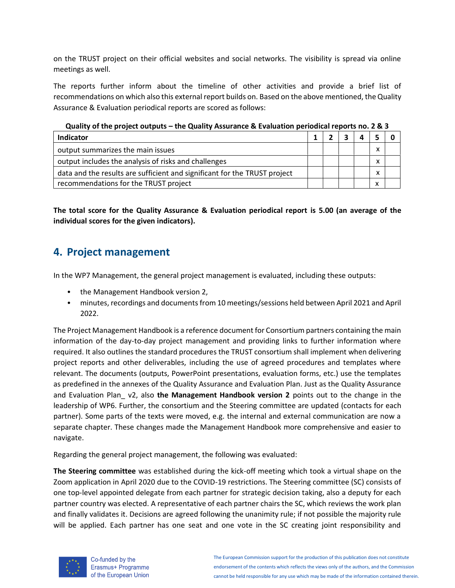on the TRUST project on their official websites and social networks. The visibility is spread via online meetings as well.

The reports further inform about the timeline of other activities and provide a brief list of recommendations on which also this external report builds on. Based on the above mentioned, the Quality Assurance & Evaluation periodical reports are scored as follows:

| $\alpha$ and the project existing the district results in the second contraction in the second second that $\alpha$ in $\alpha$ |  |  |  |  |   |  |  |
|---------------------------------------------------------------------------------------------------------------------------------|--|--|--|--|---|--|--|
| <b>Indicator</b>                                                                                                                |  |  |  |  |   |  |  |
| output summarizes the main issues                                                                                               |  |  |  |  | v |  |  |
| output includes the analysis of risks and challenges                                                                            |  |  |  |  | x |  |  |
| data and the results are sufficient and significant for the TRUST project                                                       |  |  |  |  | v |  |  |
| recommendations for the TRUST project                                                                                           |  |  |  |  |   |  |  |

**Quality of the project outputs – the Quality Assurance & Evaluation periodical reports no. 2 & 3**

**The total score for the Quality Assurance & Evaluation periodical report is 5.00 (an average of the individual scores for the given indicators).**

# **4. Project management**

In the WP7 Management, the general project management is evaluated, including these outputs:

- the Management Handbook version 2,
- minutes, recordings and documents from 10 meetings/sessions held between April 2021 and April 2022.

The Project Management Handbook is a reference document for Consortium partners containing the main information of the day-to-day project management and providing links to further information where required. It also outlines the standard procedures the TRUST consortium shall implement when delivering project reports and other deliverables, including the use of agreed procedures and templates where relevant. The documents (outputs, PowerPoint presentations, evaluation forms, etc.) use the templates as predefined in the annexes of the Quality Assurance and Evaluation Plan. Just as the Quality Assurance and Evaluation Plan\_ v2, also **the Management Handbook version 2** points out to the change in the leadership of WP6. Further, the consortium and the Steering committee are updated (contacts for each partner). Some parts of the texts were moved, e.g. the internal and external communication are now a separate chapter. These changes made the Management Handbook more comprehensive and easier to navigate.

Regarding the general project management, the following was evaluated:

**The Steering committee** was established during the kick-off meeting which took a virtual shape on the Zoom application in April 2020 due to the COVID-19 restrictions. The Steering committee (SC) consists of one top-level appointed delegate from each partner for strategic decision taking, also a deputy for each partner country was elected. A representative of each partner chairs the SC, which reviews the work plan and finally validates it. Decisions are agreed following the unanimity rule; if not possible the majority rule will be applied. Each partner has one seat and one vote in the SC creating joint responsibility and



Co-funded by the Erasmus+ Programme of the European Union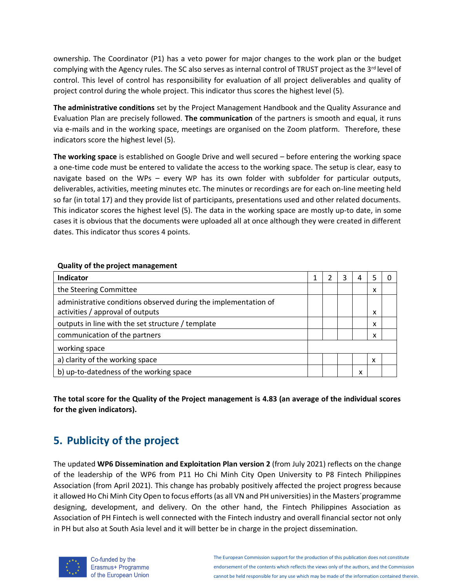ownership. The Coordinator (P1) has a veto power for major changes to the work plan or the budget complying with the Agency rules. The SC also serves as internal control of TRUST project as the 3<sup>rd</sup> level of control. This level of control has responsibility for evaluation of all project deliverables and quality of project control during the whole project. This indicator thus scores the highest level (5).

**The administrative conditions** set by the Project Management Handbook and the Quality Assurance and Evaluation Plan are precisely followed. **The communication** of the partners is smooth and equal, it runs via e-mails and in the working space, meetings are organised on the Zoom platform. Therefore, these indicators score the highest level (5).

**The working space** is established on Google Drive and well secured – before entering the working space a one-time code must be entered to validate the access to the working space. The setup is clear, easy to navigate based on the WPs – every WP has its own folder with subfolder for particular outputs, deliverables, activities, meeting minutes etc. The minutes or recordings are for each on-line meeting held so far (in total 17) and they provide list of participants, presentations used and other related documents. This indicator scores the highest level (5). The data in the working space are mostly up-to date, in some cases it is obvious that the documents were uploaded all at once although they were created in different dates. This indicator thus scores 4 points.

| <b>Indicator</b>                                                                                    |  | 3 | 4 |   |  |
|-----------------------------------------------------------------------------------------------------|--|---|---|---|--|
| the Steering Committee                                                                              |  |   |   | x |  |
| administrative conditions observed during the implementation of<br>activities / approval of outputs |  |   |   | x |  |
|                                                                                                     |  |   |   |   |  |
| outputs in line with the set structure / template                                                   |  |   |   | x |  |
| communication of the partners                                                                       |  |   |   | x |  |
| working space                                                                                       |  |   |   |   |  |
| a) clarity of the working space                                                                     |  |   |   | x |  |
| b) up-to-datedness of the working space                                                             |  |   | x |   |  |

### **Quality of the project management**

**The total score for the Quality of the Project management is 4.83 (an average of the individual scores for the given indicators).**

# **5. Publicity of the project**

The updated **WP6 Dissemination and Exploitation Plan version 2** (from July 2021) reflects on the change of the leadership of the WP6 from P11 Ho Chi Minh City Open University to P8 Fintech Philippines Association (from April 2021). This change has probably positively affected the project progress because it allowed Ho Chi Minh City Open to focus efforts (as all VN and PH universities) in the Masters´programme designing, development, and delivery. On the other hand, the Fintech Philippines Association as Association of PH Fintech is well connected with the Fintech industry and overall financial sector not only in PH but also at South Asia level and it will better be in charge in the project dissemination.



Co-funded by the Erasmus+ Programme of the European Union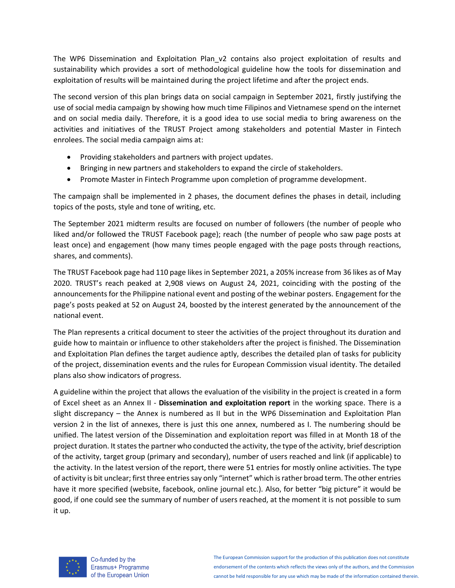The WP6 Dissemination and Exploitation Plan v2 contains also project exploitation of results and sustainability which provides a sort of methodological guideline how the tools for dissemination and exploitation of results will be maintained during the project lifetime and after the project ends.

The second version of this plan brings data on social campaign in September 2021, firstly justifying the use of social media campaign by showing how much time Filipinos and Vietnamese spend on the internet and on social media daily. Therefore, it is a good idea to use social media to bring awareness on the activities and initiatives of the TRUST Project among stakeholders and potential Master in Fintech enrolees. The social media campaign aims at:

- Providing stakeholders and partners with project updates.
- Bringing in new partners and stakeholders to expand the circle of stakeholders.
- Promote Master in Fintech Programme upon completion of programme development.

The campaign shall be implemented in 2 phases, the document defines the phases in detail, including topics of the posts, style and tone of writing, etc.

The September 2021 midterm results are focused on number of followers (the number of people who liked and/or followed the TRUST Facebook page); reach (the number of people who saw page posts at least once) and engagement (how many times people engaged with the page posts through reactions, shares, and comments).

The TRUST Facebook page had 110 page likes in September 2021, a 205% increase from 36 likes as of May 2020. TRUST's reach peaked at 2,908 views on August 24, 2021, coinciding with the posting of the announcements for the Philippine national event and posting of the webinar posters. Engagement for the page's posts peaked at 52 on August 24, boosted by the interest generated by the announcement of the national event.

The Plan represents a critical document to steer the activities of the project throughout its duration and guide how to maintain or influence to other stakeholders after the project is finished. The Dissemination and Exploitation Plan defines the target audience aptly, describes the detailed plan of tasks for publicity of the project, dissemination events and the rules for European Commission visual identity. The detailed plans also show indicators of progress.

A guideline within the project that allows the evaluation of the visibility in the project is created in a form of Excel sheet as an Annex II - **Dissemination and exploitation report** in the working space. There is a slight discrepancy – the Annex is numbered as II but in the WP6 Dissemination and Exploitation Plan version 2 in the list of annexes, there is just this one annex, numbered as I. The numbering should be unified. The latest version of the Dissemination and exploitation report was filled in at Month 18 of the project duration. It states the partner who conducted the activity, the type of the activity, brief description of the activity, target group (primary and secondary), number of users reached and link (if applicable) to the activity. In the latest version of the report, there were 51 entries for mostly online activities. The type of activity is bit unclear; first three entries say only "internet" which is rather broad term. The other entries have it more specified (website, facebook, online journal etc.). Also, for better "big picture" it would be good, if one could see the summary of number of users reached, at the moment it is not possible to sum it up.



Co-funded by the Erasmus+ Programme of the European Union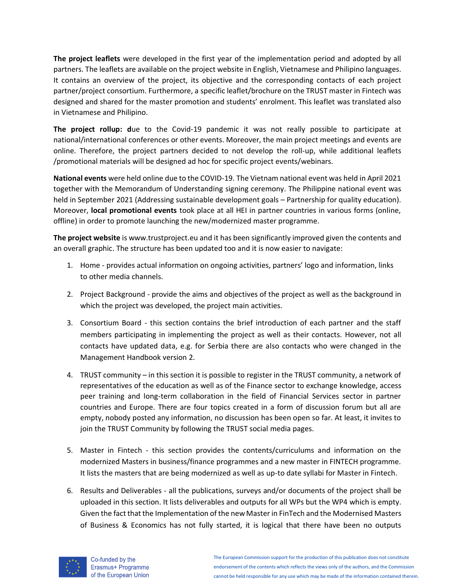**The project leaflets** were developed in the first year of the implementation period and adopted by all partners. The leaflets are available on the project website in English, Vietnamese and Philipino languages. It contains an overview of the project, its objective and the corresponding contacts of each project partner/project consortium. Furthermore, a specific leaflet/brochure on the TRUST master in Fintech was designed and shared for the master promotion and students' enrolment. This leaflet was translated also in Vietnamese and Philipino.

**The project rollup: d**ue to the Covid-19 pandemic it was not really possible to participate at national/international conferences or other events. Moreover, the main project meetings and events are online. Therefore, the project partners decided to not develop the roll-up, while additional leaflets /promotional materials will be designed ad hoc for specific project events/webinars.

**National events** were held online due to the COVID-19. The Vietnam national event was held in April 2021 together with the Memorandum of Understanding signing ceremony. The Philippine national event was held in September 2021 (Addressing sustainable development goals – Partnership for quality education). Moreover, **local promotional events** took place at all HEI in partner countries in various forms (online, offline) in order to promote launching the new/modernized master programme.

**The project website** i[s www.trustproject.eu](http://www.trustproject.eu/) and it has been significantly improved given the contents and an overall graphic. The structure has been updated too and it is now easier to navigate:

- 1. Home provides actual information on ongoing activities, partners' logo and information, links to other media channels.
- 2. Project Background provide the aims and objectives of the project as well as the background in which the project was developed, the project main activities.
- 3. Consortium Board this section contains the brief introduction of each partner and the staff members participating in implementing the project as well as their contacts. However, not all contacts have updated data, e.g. for Serbia there are also contacts who were changed in the Management Handbook version 2.
- 4. TRUST community in this section it is possible to register in the TRUST community, a network of representatives of the education as well as of the Finance sector to exchange knowledge, access peer training and long-term collaboration in the field of Financial Services sector in partner countries and Europe. There are four topics created in a form of discussion forum but all are empty, nobody posted any information, no discussion has been open so far. At least, it invites to join the TRUST Community by following the TRUST social media pages.
- 5. Master in Fintech this section provides the contents/curriculums and information on the modernized Masters in business/finance programmes and a new master in FINTECH programme. It lists the masters that are being modernized as well as up-to date syllabi for Master in Fintech.
- 6. Results and Deliverables all the publications, surveys and/or documents of the project shall be uploaded in this section. It lists deliverables and outputs for all WPs but the WP4 which is empty. Given the fact that the Implementation of the new Master in FinTech and the Modernised Masters of Business & Economics has not fully started, it is logical that there have been no outputs

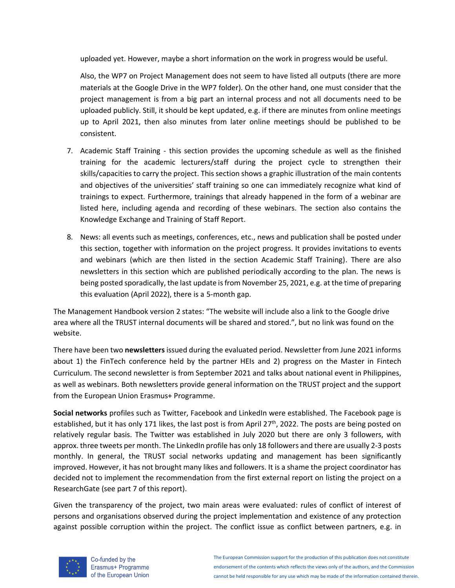uploaded yet. However, maybe a short information on the work in progress would be useful.

Also, the WP7 on Project Management does not seem to have listed all outputs (there are more materials at the Google Drive in the WP7 folder). On the other hand, one must consider that the project management is from a big part an internal process and not all documents need to be uploaded publicly. Still, it should be kept updated, e.g. if there are minutes from online meetings up to April 2021, then also minutes from later online meetings should be published to be consistent.

- 7. Academic Staff Training this section provides the upcoming schedule as well as the finished training for the academic lecturers/staff during the project cycle to strengthen their skills/capacities to carry the project. This section shows a graphic illustration of the main contents and objectives of the universities' staff training so one can immediately recognize what kind of trainings to expect. Furthermore, trainings that already happened in the form of a webinar are listed here, including agenda and recording of these webinars. The section also contains the Knowledge Exchange and Training of Staff Report.
- 8. News: all events such as meetings, conferences, etc., news and publication shall be posted under this section, together with information on the project progress. It provides invitations to events and webinars (which are then listed in the section Academic Staff Training). There are also newsletters in this section which are published periodically according to the plan. The news is being posted sporadically, the last update is from November 25, 2021, e.g. at the time of preparing this evaluation (April 2022), there is a 5-month gap.

The Management Handbook version 2 states: "The website will include also a link to the Google drive area where all the TRUST internal documents will be shared and stored.", but no link was found on the website.

There have been two **newsletters**issued during the evaluated period. Newsletter from June 2021 informs about 1) the FinTech conference held by the partner HEIs and 2) progress on the Master in Fintech Curriculum. The second newsletter is from September 2021 and talks about national event in Philippines, as well as webinars. Both newsletters provide general information on the TRUST project and the support from the European Union Erasmus+ Programme.

**Social networks** profiles such as Twitter, Facebook and LinkedIn were established. The Facebook page is established, but it has only 171 likes, the last post is from April 27<sup>th</sup>, 2022. The posts are being posted on relatively regular basis. The Twitter was established in July 2020 but there are only 3 followers, with approx. three tweets per month. The LinkedIn profile has only 18 followers and there are usually 2-3 posts monthly. In general, the TRUST social networks updating and management has been significantly improved. However, it has not brought many likes and followers. It is a shame the project coordinator has decided not to implement the recommendation from the first external report on listing the project on a ResearchGate (see part 7 of this report).

Given the transparency of the project, two main areas were evaluated: rules of conflict of interest of persons and organisations observed during the project implementation and existence of any protection against possible corruption within the project. The conflict issue as conflict between partners, e.g. in



Co-funded by the Erasmus+ Programme of the European Union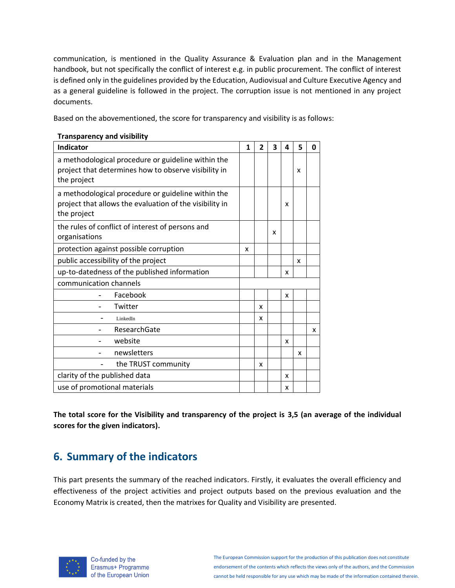communication, is mentioned in the Quality Assurance & Evaluation plan and in the Management handbook, but not specifically the conflict of interest e.g. in public procurement. The conflict of interest is defined only in the guidelines provided by the Education, Audiovisual and Culture Executive Agency and as a general guideline is followed in the project. The corruption issue is not mentioned in any project documents.

Based on the abovementioned, the score for transparency and visibility is as follows:

| <b>Indicator</b>                                                                                                             | 1 | 2 | 3 | 4 | 5 | 0 |
|------------------------------------------------------------------------------------------------------------------------------|---|---|---|---|---|---|
| a methodological procedure or guideline within the<br>project that determines how to observe visibility in<br>the project    |   |   |   |   | x |   |
| a methodological procedure or guideline within the<br>project that allows the evaluation of the visibility in<br>the project |   |   |   | x |   |   |
| the rules of conflict of interest of persons and<br>organisations                                                            |   |   | x |   |   |   |
| protection against possible corruption                                                                                       | x |   |   |   |   |   |
| public accessibility of the project                                                                                          |   |   |   |   | x |   |
| up-to-datedness of the published information                                                                                 |   |   |   | x |   |   |
| communication channels                                                                                                       |   |   |   |   |   |   |
| Facebook                                                                                                                     |   |   |   | x |   |   |
| Twitter                                                                                                                      |   | X |   |   |   |   |
| LinkedIn                                                                                                                     |   | x |   |   |   |   |
| ResearchGate                                                                                                                 |   |   |   |   |   | x |
| website                                                                                                                      |   |   |   | x |   |   |
| newsletters                                                                                                                  |   |   |   |   | x |   |
| the TRUST community                                                                                                          |   | x |   |   |   |   |
| clarity of the published data                                                                                                |   |   |   | X |   |   |
| use of promotional materials                                                                                                 |   |   |   | x |   |   |

#### **Transparency and visibility**

**The total score for the Visibility and transparency of the project is 3,5 (an average of the individual scores for the given indicators).**

# **6. Summary of the indicators**

This part presents the summary of the reached indicators. Firstly, it evaluates the overall efficiency and effectiveness of the project activities and project outputs based on the previous evaluation and the Economy Matrix is created, then the matrixes for Quality and Visibility are presented.



Co-funded by the Erasmus+ Programme of the European Union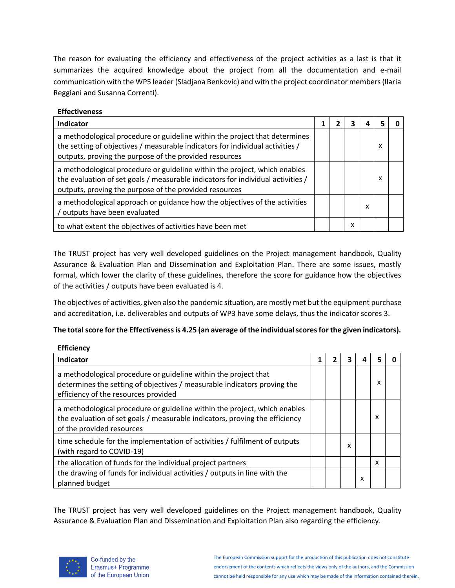The reason for evaluating the efficiency and effectiveness of the project activities as a last is that it summarizes the acquired knowledge about the project from all the documentation and e-mail communication with the WP5 leader (Sladjana Benkovic) and with the project coordinator members(Ilaria Reggiani and Susanna Correnti).

#### **Effectiveness**

| Indicator                                                                                                                                                                                                              |  |   |   |   |  |
|------------------------------------------------------------------------------------------------------------------------------------------------------------------------------------------------------------------------|--|---|---|---|--|
| a methodological procedure or guideline within the project that determines<br>the setting of objectives / measurable indicators for individual activities /<br>outputs, proving the purpose of the provided resources  |  |   |   | x |  |
| a methodological procedure or guideline within the project, which enables<br>the evaluation of set goals / measurable indicators for individual activities /<br>outputs, proving the purpose of the provided resources |  |   |   | x |  |
| a methodological approach or guidance how the objectives of the activities<br>/ outputs have been evaluated                                                                                                            |  |   | x |   |  |
| to what extent the objectives of activities have been met                                                                                                                                                              |  | х |   |   |  |

The TRUST project has very well developed guidelines on the Project management handbook, Quality Assurance & Evaluation Plan and Dissemination and Exploitation Plan. There are some issues, mostly formal, which lower the clarity of these guidelines, therefore the score for guidance how the objectives of the activities / outputs have been evaluated is 4.

The objectives of activities, given also the pandemic situation, are mostly met but the equipment purchase and accreditation, i.e. deliverables and outputs of WP3 have some delays, thus the indicator scores 3.

### **The total score for the Effectiveness is 4.25 (an average of the individual scores for the given indicators).**

| <b>Efficiency</b>                                                                                                                                                                     |  |   |   |   |  |
|---------------------------------------------------------------------------------------------------------------------------------------------------------------------------------------|--|---|---|---|--|
| <b>Indicator</b>                                                                                                                                                                      |  | ว |   |   |  |
| a methodological procedure or guideline within the project that<br>determines the setting of objectives / measurable indicators proving the<br>efficiency of the resources provided   |  |   |   | x |  |
| a methodological procedure or guideline within the project, which enables<br>the evaluation of set goals / measurable indicators, proving the efficiency<br>of the provided resources |  |   |   | x |  |
| time schedule for the implementation of activities / fulfilment of outputs<br>(with regard to COVID-19)                                                                               |  | x |   |   |  |
| the allocation of funds for the individual project partners                                                                                                                           |  |   |   | x |  |
| the drawing of funds for individual activities / outputs in line with the<br>planned budget                                                                                           |  |   | x |   |  |

The TRUST project has very well developed guidelines on the Project management handbook, Quality Assurance & Evaluation Plan and Dissemination and Exploitation Plan also regarding the efficiency.

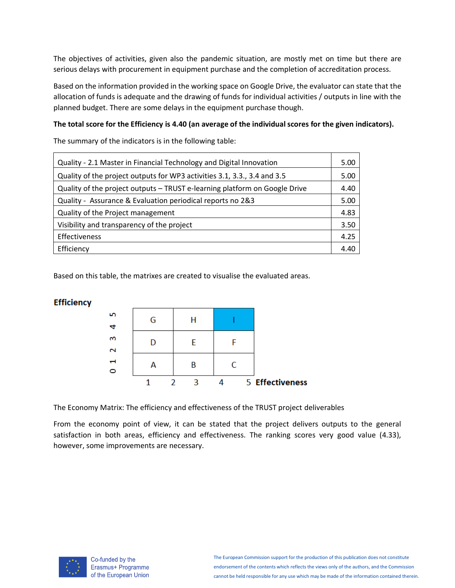The objectives of activities, given also the pandemic situation, are mostly met on time but there are serious delays with procurement in equipment purchase and the completion of accreditation process.

Based on the information provided in the working space on Google Drive, the evaluator can state that the allocation of funds is adequate and the drawing of funds for individual activities / outputs in line with the planned budget. There are some delays in the equipment purchase though.

#### **The total score for the Efficiency is 4.40 (an average of the individual scores for the given indicators).**

The summary of the indicators is in the following table:

| Quality - 2.1 Master in Financial Technology and Digital Innovation        | 5.00 |
|----------------------------------------------------------------------------|------|
| Quality of the project outputs for WP3 activities 3.1, 3.3., 3.4 and 3.5   | 5.00 |
| Quality of the project outputs - TRUST e-learning platform on Google Drive | 4.40 |
| Quality - Assurance & Evaluation periodical reports no 2&3                 | 5.00 |
| Quality of the Project management                                          | 4.83 |
| Visibility and transparency of the project                                 | 3.50 |
| Effectiveness                                                              | 4.25 |
| Efficiency                                                                 | 4.40 |

Based on this table, the matrixes are created to visualise the evaluated areas.

### **Efficiency**

| LO <sub>1</sub>               | G | Н |                 |
|-------------------------------|---|---|-----------------|
| $\alpha$<br>$\mathbf{\Omega}$ | D | F |                 |
| Н<br>$\circ$                  |   | R |                 |
|                               |   |   | 5 Effectiveness |

The Economy Matrix: The efficiency and effectiveness of the TRUST project deliverables

From the economy point of view, it can be stated that the project delivers outputs to the general satisfaction in both areas, efficiency and effectiveness. The ranking scores very good value (4.33), however, some improvements are necessary.



Co-funded by the Erasmus+ Programme of the European Union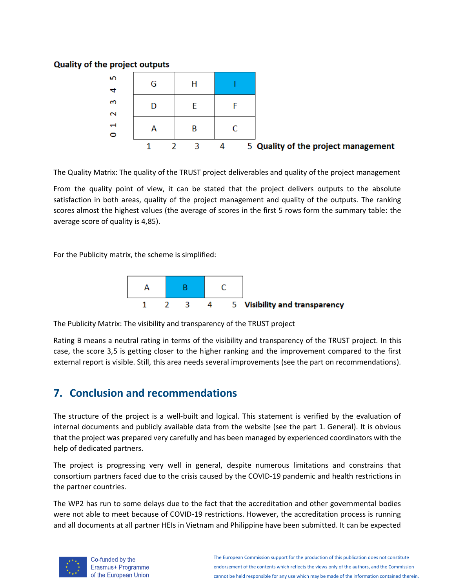### **Quality of the project outputs**

| Ю<br>4                 | G |   |   |                                     |
|------------------------|---|---|---|-------------------------------------|
| m<br>$\mathbf{\Omega}$ |   |   |   |                                     |
| Н<br>O                 | А | R |   |                                     |
|                        |   |   | 4 | 5 Quality of the project management |

The Quality Matrix: The quality of the TRUST project deliverables and quality of the project management

From the quality point of view, it can be stated that the project delivers outputs to the absolute satisfaction in both areas, quality of the project management and quality of the outputs. The ranking scores almost the highest values (the average of scores in the first 5 rows form the summary table: the average score of quality is 4,85).

For the Publicity matrix, the scheme is simplified:



The Publicity Matrix: The visibility and transparency of the TRUST project

Rating B means a neutral rating in terms of the visibility and transparency of the TRUST project. In this case, the score 3,5 is getting closer to the higher ranking and the improvement compared to the first external report is visible. Still, this area needs several improvements (see the part on recommendations).

# **7. Conclusion and recommendations**

The structure of the project is a well-built and logical. This statement is verified by the evaluation of internal documents and publicly available data from the website (see the part 1. General). It is obvious that the project was prepared very carefully and has been managed by experienced coordinators with the help of dedicated partners.

The project is progressing very well in general, despite numerous limitations and constrains that consortium partners faced due to the crisis caused by the COVID-19 pandemic and health restrictions in the partner countries.

The WP2 has run to some delays due to the fact that the accreditation and other governmental bodies were not able to meet because of COVID-19 restrictions. However, the accreditation process is running and all documents at all partner HEIs in Vietnam and Philippine have been submitted. It can be expected



Co-funded by the Erasmus+ Programme of the European Union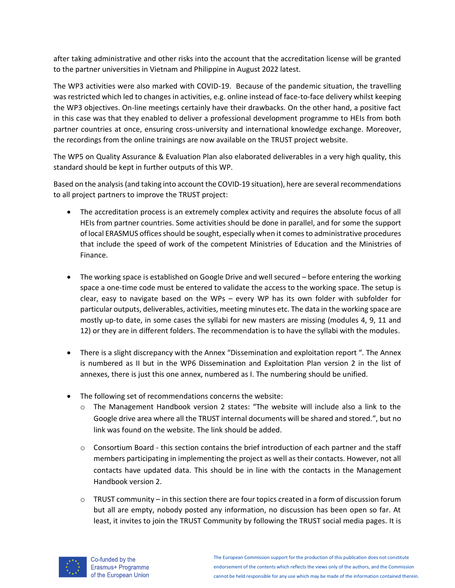after taking administrative and other risks into the account that the accreditation license will be granted to the partner universities in Vietnam and Philippine in August 2022 latest.

The WP3 activities were also marked with COVID-19. Because of the pandemic situation, the travelling was restricted which led to changes in activities, e.g. online instead of face-to-face delivery whilst keeping the WP3 objectives. On-line meetings certainly have their drawbacks. On the other hand, a positive fact in this case was that they enabled to deliver a professional development programme to HEIs from both partner countries at once, ensuring cross-university and international knowledge exchange. Moreover, the recordings from the online trainings are now available on the TRUST project website.

The WP5 on Quality Assurance & Evaluation Plan also elaborated deliverables in a very high quality, this standard should be kept in further outputs of this WP.

Based on the analysis (and taking into account the COVID-19 situation), here are several recommendations to all project partners to improve the TRUST project:

- The accreditation process is an extremely complex activity and requires the absolute focus of all HEIs from partner countries. Some activities should be done in parallel, and for some the support of local ERASMUS offices should be sought, especially when it comes to administrative procedures that include the speed of work of the competent Ministries of Education and the Ministries of Finance.
- The working space is established on Google Drive and well secured before entering the working space a one-time code must be entered to validate the access to the working space. The setup is clear, easy to navigate based on the WPs – every WP has its own folder with subfolder for particular outputs, deliverables, activities, meeting minutes etc. The data in the working space are mostly up-to date, in some cases the syllabi for new masters are missing (modules 4, 9, 11 and 12) or they are in different folders. The recommendation is to have the syllabi with the modules.
- There is a slight discrepancy with the Annex "Dissemination and exploitation report ". The Annex is numbered as II but in the WP6 Dissemination and Exploitation Plan version 2 in the list of annexes, there is just this one annex, numbered as I. The numbering should be unified.
- The following set of recommendations concerns the website:
	- o The Management Handbook version 2 states: "The website will include also a link to the Google drive area where all the TRUST internal documents will be shared and stored.", but no link was found on the website. The link should be added.
	- o Consortium Board this section contains the brief introduction of each partner and the staff members participating in implementing the project as well as their contacts. However, not all contacts have updated data. This should be in line with the contacts in the Management Handbook version 2.
	- $\circ$  TRUST community in this section there are four topics created in a form of discussion forum but all are empty, nobody posted any information, no discussion has been open so far. At least, it invites to join the TRUST Community by following the TRUST social media pages. It is

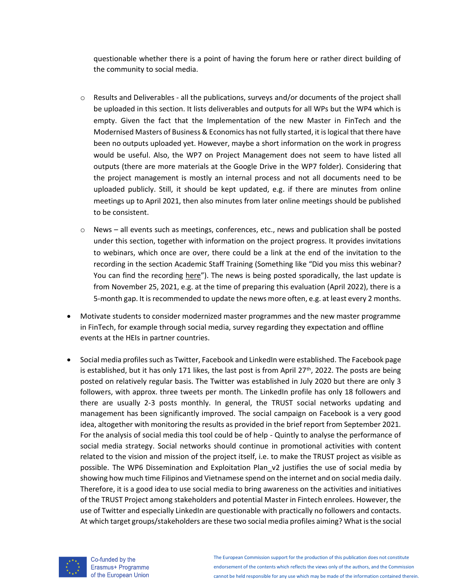questionable whether there is a point of having the forum here or rather direct building of the community to social media.

- o Results and Deliverables all the publications, surveys and/or documents of the project shall be uploaded in this section. It lists deliverables and outputs for all WPs but the WP4 which is empty. Given the fact that the Implementation of the new Master in FinTech and the Modernised Masters of Business & Economics has not fully started, it is logical that there have been no outputs uploaded yet. However, maybe a short information on the work in progress would be useful. Also, the WP7 on Project Management does not seem to have listed all outputs (there are more materials at the Google Drive in the WP7 folder). Considering that the project management is mostly an internal process and not all documents need to be uploaded publicly. Still, it should be kept updated, e.g. if there are minutes from online meetings up to April 2021, then also minutes from later online meetings should be published to be consistent.
- $\circ$  News all events such as meetings, conferences, etc., news and publication shall be posted under this section, together with information on the project progress. It provides invitations to webinars, which once are over, there could be a link at the end of the invitation to the recording in the section Academic Staff Training (Something like "Did you miss this webinar? You can find the recording here"). The news is being posted sporadically, the last update is from November 25, 2021, e.g. at the time of preparing this evaluation (April 2022), there is a 5-month gap. It is recommended to update the news more often, e.g. at least every 2 months.
- Motivate students to consider modernized master programmes and the new master programme in FinTech, for example through social media, survey regarding they expectation and offline events at the HEIs in partner countries.
- Social media profilessuch as Twitter, Facebook and LinkedIn were established. The Facebook page is established, but it has only 171 likes, the last post is from April 27<sup>th</sup>, 2022. The posts are being posted on relatively regular basis. The Twitter was established in July 2020 but there are only 3 followers, with approx. three tweets per month. The LinkedIn profile has only 18 followers and there are usually 2-3 posts monthly. In general, the TRUST social networks updating and management has been significantly improved. The social campaign on Facebook is a very good idea, altogether with monitoring the results as provided in the brief report from September 2021. For the analysis of social media this tool could be of help - Quintly to analyse the performance of social media strategy. Social networks should continue in promotional activities with content related to the vision and mission of the project itself, i.e. to make the TRUST project as visible as possible. The WP6 Dissemination and Exploitation Plan v2 justifies the use of social media by showing how much time Filipinos and Vietnamese spend on the internet and on social media daily. Therefore, it is a good idea to use social media to bring awareness on the activities and initiatives of the TRUST Project among stakeholders and potential Master in Fintech enrolees. However, the use of Twitter and especially LinkedIn are questionable with practically no followers and contacts. At which target groups/stakeholders are these two social media profiles aiming? What is the social



Co-funded by the Erasmus+ Programme of the European Union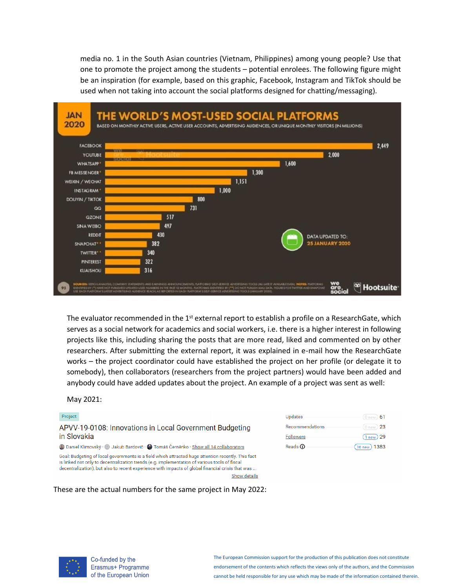media no. 1 in the South Asian countries (Vietnam, Philippines) among young people? Use that one to promote the project among the students – potential enrolees. The following figure might be an inspiration (for example, based on this graphic, Facebook, Instagram and TikTok should be used when not taking into account the social platforms designed for chatting/messaging).



The evaluator recommended in the 1<sup>st</sup> external report to establish a profile on a ResearchGate, which serves as a social network for academics and social workers, i.e. there is a higher interest in following projects like this, including sharing the posts that are more read, liked and commented on by other researchers. After submitting the external report, it was explained in e-mail how the ResearchGate works – the project coordinator could have established the project on her profile (or delegate it to somebody), then collaborators (researchers from the project partners) would have been added and anybody could have added updates about the project. An example of a project was sent as well:

#### May 2021:

#### Project APVV-19-0108: Innovations in Local Government Budgeting in Slovakia Daniel Klimovský · · Jakub Bardovič · · Tomáš Černěnko · <u>Show all 14 collaborators</u> Goal: Budgeting of local governments is a field which attracted huge attention recently. This fact is linked not only to decentralization trends (e.g. implementation of various tools of fiscal decentralization), but also to recent experience with impacts of global financial crisis that was . Show details

#### These are the actual numbers for the same project in May 2022:

| Updates          | $0$ new $)$ 61            |
|------------------|---------------------------|
| Recommendations  | 0 new $23$                |
| <b>Followers</b> | $(1new)$ 29               |
| Reads <b>O</b>   | (16 <sub>new</sub> ) 1383 |



Co-funded by the Erasmus+ Programme of the European Union